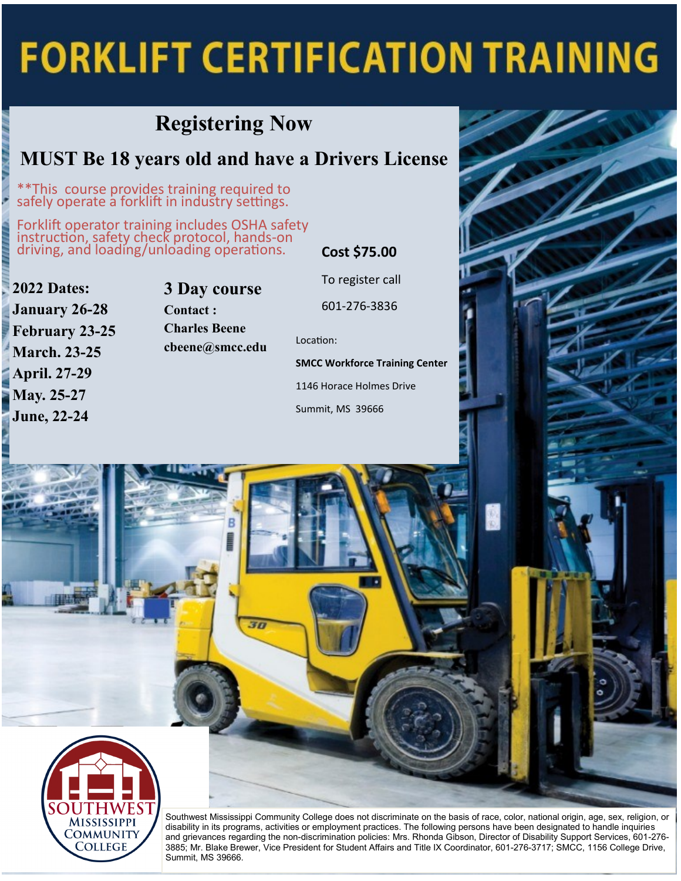# **FORKLIFT CERTIFICATION TRAINING**

### **Registering Now**

#### **MUST Be 18 years old and have a Drivers License**

\*\*This course provides training required to safely operate a forklift in industry settings.

Forklift operator training includes OSHA safety instruction, safety check protocol, hands-on driving, and loading/unloading operations. **Cost \$75.00**

**2022 Dates:**

**April. 27-29 May. 25-27 June, 22-24**

**January 26-28 February 23-25 March. 23-25**

**3 Day course Contact : Charles Beene cbeene@smcc.edu** Location:

To register call

601-276-3836

**SMCC Workforce Training Center**

1146 Horace Holmes Drive

Summit, MS 39666



Southwest Mississippi Community College does not discriminate on the basis of race, color, national origin, age, sex, religion, or disability in its programs, activities or employment practices. The following persons have been designated to handle inquiries and grievances regarding the non-discrimination policies: Mrs. Rhonda Gibson, Director of Disability Support Services, 601-276- 3885; Mr. Blake Brewer, Vice President for Student Affairs and Title IX Coordinator, 601-276-3717; SMCC, 1156 College Drive, Summit, MS 39666.